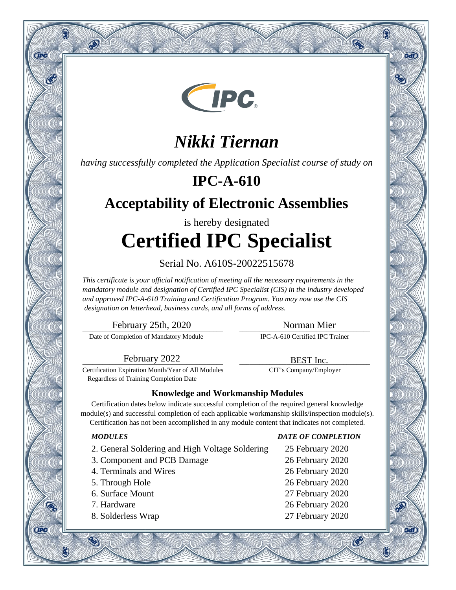

# *Nikki Tiernan*

*having successfully completed the Application Specialist course of study on*

## **IPC-A-610**

## **Acceptability of Electronic Assemblies**

# is hereby designated **Certified IPC Specialist**

### Serial No. A610S-20022515678

*This certificate is your official notification of meeting all the necessary requirements in the mandatory module and designation of Certified IPC Specialist (CIS) in the industry developed and approved IPC-A-610 Training and Certification Program. You may now use the CIS designation on letterhead, business cards, and all forms of address.*

\_\_\_\_\_\_\_\_\_\_\_\_\_\_\_\_\_\_\_\_\_\_\_\_\_\_\_\_\_\_\_\_\_\_\_\_\_\_\_\_\_\_ February 25th, 2020

\_\_\_\_\_\_\_\_\_\_\_\_\_\_\_\_\_\_\_\_\_\_\_\_\_\_\_\_\_\_\_\_\_\_\_\_\_\_\_ Norman Mier

\_\_\_\_\_\_\_\_\_\_\_\_\_\_\_\_\_\_\_\_\_\_\_\_\_\_\_\_\_\_\_\_\_\_\_\_\_\_\_ BEST Inc. CIT's Company/Employer

Date of Completion of Mandatory Module

IPC-A-610 Certified IPC Trainer

\_\_\_\_\_\_\_\_\_\_\_\_\_\_\_\_\_\_\_\_\_\_\_\_\_\_\_\_\_\_\_\_\_\_\_\_\_\_\_\_\_\_ February 2022

Certification Expiration Month/Year of All Modules Regardless of Training Completion Date

### **Knowledge and Workmanship Modules**

Certification dates below indicate successful completion of the required general knowledge module(s) and successful completion of each applicable workmanship skills/inspection module(s). Certification has not been accomplished in any module content that indicates not completed.

Q

**CIPC** 

 $\hat{\infty}$ 

- 2. General Soldering and High Voltage Soldering 25 February 2020
- 3. Component and PCB Damage 26 February 2020
- 4. Terminals and Wires 26 February 2020
- 
- 
- 

**CIPC** 

8. Solderless Wrap 27 February 2020

### *MODULES DATE OF COMPLETION*

Ą

oan

9वारे

Ø.

5. Through Hole 26 February 2020

- 6. Surface Mount 27 February 2020
- 7. Hardware 26 February 2020
	-

 $\mathbb{C}^2$